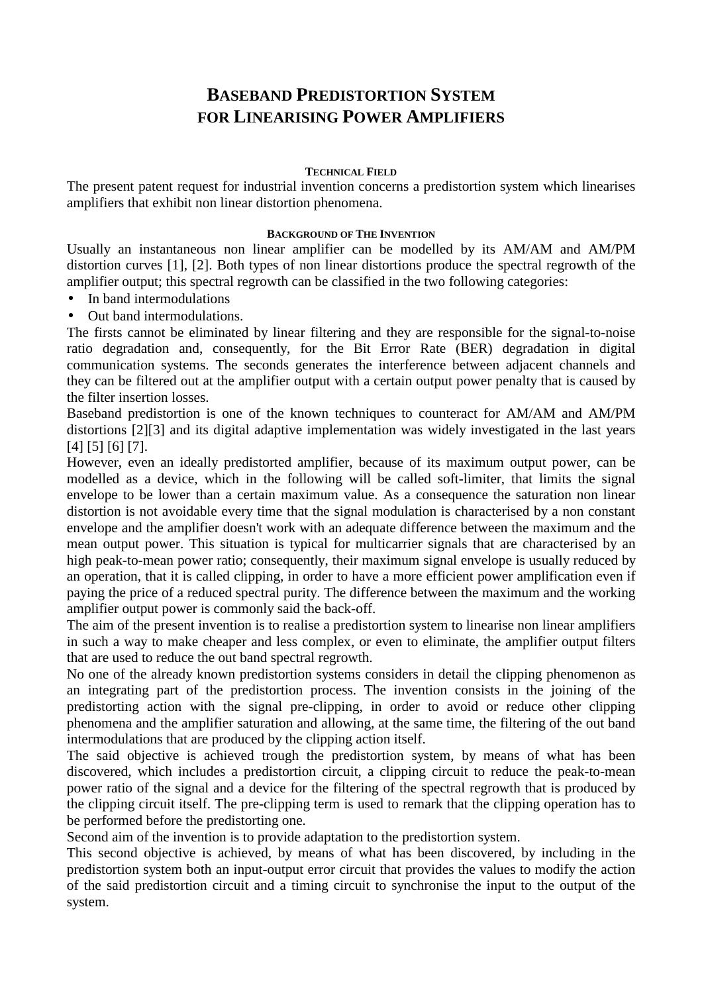## **BASEBAND PREDISTORTION SYSTEM FOR LINEARISING POWER AMPLIFIERS**

## **TECHNICAL FIELD**

The present patent request for industrial invention concerns a predistortion system which linearises amplifiers that exhibit non linear distortion phenomena.

## **BACKGROUND OF THE INVENTION**

Usually an instantaneous non linear amplifier can be modelled by its AM/AM and AM/PM distortion curves [1], [2]. Both types of non linear distortions produce the spectral regrowth of the amplifier output; this spectral regrowth can be classified in the two following categories:

- In band intermodulations
- Out band intermodulations.

The firsts cannot be eliminated by linear filtering and they are responsible for the signal-to-noise ratio degradation and, consequently, for the Bit Error Rate (BER) degradation in digital communication systems. The seconds generates the interference between adjacent channels and they can be filtered out at the amplifier output with a certain output power penalty that is caused by the filter insertion losses.

Baseband predistortion is one of the known techniques to counteract for AM/AM and AM/PM distortions [2][3] and its digital adaptive implementation was widely investigated in the last years [4] [5] [6] [7].

However, even an ideally predistorted amplifier, because of its maximum output power, can be modelled as a device, which in the following will be called soft-limiter, that limits the signal envelope to be lower than a certain maximum value. As a consequence the saturation non linear distortion is not avoidable every time that the signal modulation is characterised by a non constant envelope and the amplifier doesn't work with an adequate difference between the maximum and the mean output power. This situation is typical for multicarrier signals that are characterised by an high peak-to-mean power ratio; consequently, their maximum signal envelope is usually reduced by an operation, that it is called clipping, in order to have a more efficient power amplification even if paying the price of a reduced spectral purity. The difference between the maximum and the working amplifier output power is commonly said the back-off.

The aim of the present invention is to realise a predistortion system to linearise non linear amplifiers in such a way to make cheaper and less complex, or even to eliminate, the amplifier output filters that are used to reduce the out band spectral regrowth.

No one of the already known predistortion systems considers in detail the clipping phenomenon as an integrating part of the predistortion process. The invention consists in the joining of the predistorting action with the signal pre-clipping, in order to avoid or reduce other clipping phenomena and the amplifier saturation and allowing, at the same time, the filtering of the out band intermodulations that are produced by the clipping action itself.

The said objective is achieved trough the predistortion system, by means of what has been discovered, which includes a predistortion circuit, a clipping circuit to reduce the peak-to-mean power ratio of the signal and a device for the filtering of the spectral regrowth that is produced by the clipping circuit itself. The pre-clipping term is used to remark that the clipping operation has to be performed before the predistorting one.

Second aim of the invention is to provide adaptation to the predistortion system.

This second objective is achieved, by means of what has been discovered, by including in the predistortion system both an input-output error circuit that provides the values to modify the action of the said predistortion circuit and a timing circuit to synchronise the input to the output of the system.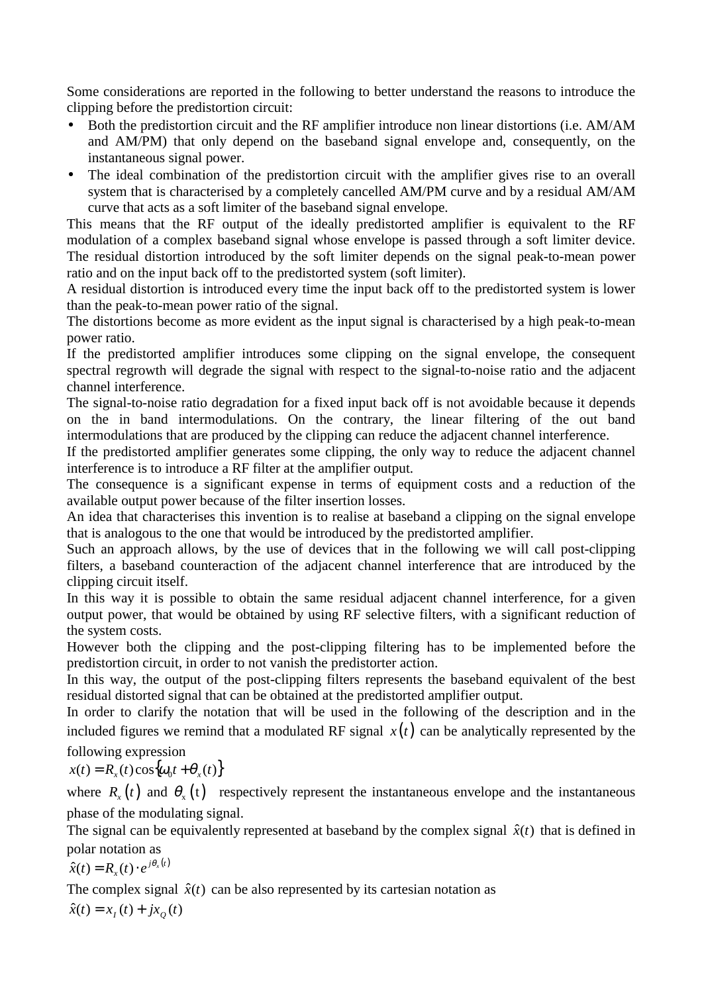Some considerations are reported in the following to better understand the reasons to introduce the clipping before the predistortion circuit:

- Both the predistortion circuit and the RF amplifier introduce non linear distortions (i.e. AM/AM and AM/PM) that only depend on the baseband signal envelope and, consequently, on the instantaneous signal power.
- The ideal combination of the predistortion circuit with the amplifier gives rise to an overall system that is characterised by a completely cancelled AM/PM curve and by a residual AM/AM curve that acts as a soft limiter of the baseband signal envelope.

This means that the RF output of the ideally predistorted amplifier is equivalent to the RF modulation of a complex baseband signal whose envelope is passed through a soft limiter device. The residual distortion introduced by the soft limiter depends on the signal peak-to-mean power ratio and on the input back off to the predistorted system (soft limiter).

A residual distortion is introduced every time the input back off to the predistorted system is lower than the peak-to-mean power ratio of the signal.

The distortions become as more evident as the input signal is characterised by a high peak-to-mean power ratio.

If the predistorted amplifier introduces some clipping on the signal envelope, the consequent spectral regrowth will degrade the signal with respect to the signal-to-noise ratio and the adjacent channel interference.

The signal-to-noise ratio degradation for a fixed input back off is not avoidable because it depends on the in band intermodulations. On the contrary, the linear filtering of the out band intermodulations that are produced by the clipping can reduce the adjacent channel interference.

If the predistorted amplifier generates some clipping, the only way to reduce the adjacent channel interference is to introduce a RF filter at the amplifier output.

The consequence is a significant expense in terms of equipment costs and a reduction of the available output power because of the filter insertion losses.

An idea that characterises this invention is to realise at baseband a clipping on the signal envelope that is analogous to the one that would be introduced by the predistorted amplifier.

Such an approach allows, by the use of devices that in the following we will call post-clipping filters, a baseband counteraction of the adjacent channel interference that are introduced by the clipping circuit itself.

In this way it is possible to obtain the same residual adjacent channel interference, for a given output power, that would be obtained by using RF selective filters, with a significant reduction of the system costs.

However both the clipping and the post-clipping filtering has to be implemented before the predistortion circuit, in order to not vanish the predistorter action.

In this way, the output of the post-clipping filters represents the baseband equivalent of the best residual distorted signal that can be obtained at the predistorted amplifier output.

In order to clarify the notation that will be used in the following of the description and in the included figures we remind that a modulated RF signal  $x(t)$  can be analytically represented by the

following expression

$$
x(t) = R_x(t)\cos{\omega_0 t + \theta_x(t)}
$$

where  $R_r(t)$  and  $\theta_r(t)$  respectively represent the instantaneous envelope and the instantaneous phase of the modulating signal.

The signal can be equivalently represented at baseband by the complex signal  $\hat{x}(t)$  that is defined in polar notation as

$$
\hat{x}(t) = R_{x}(t) \cdot e^{j\theta_{x}(t)}
$$

The complex signal  $\hat{x}(t)$  can be also represented by its cartesian notation as

 $\hat{x}(t) = x_i(t) + jx_o(t)$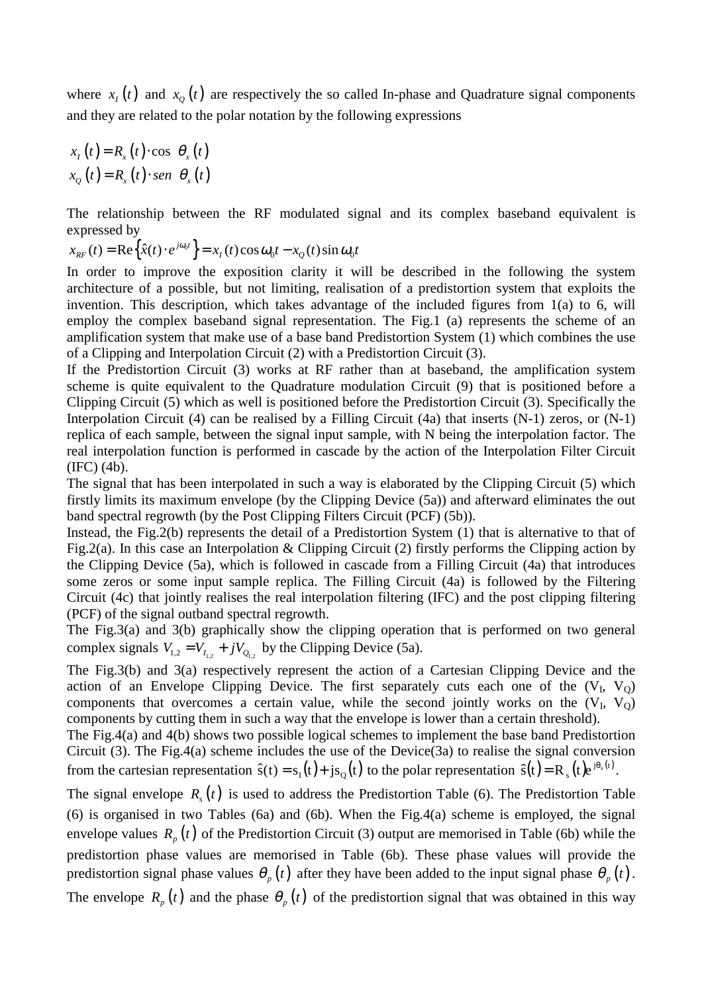where  $x_i(t)$  and  $x_o(t)$  are respectively the so called In-phase and Quadrature signal components and they are related to the polar notation by the following expressions

$$
x_{t}(t) = R_{x}(t) \cdot \cos[\theta_{x}(t)]
$$
  

$$
x_{Q}(t) = R_{x}(t) \cdot \text{sen}[\theta_{x}(t)]
$$

The relationship between the RF modulated signal and its complex baseband equivalent is expressed by

 $x_{RF}(t) = \text{Re}\left\{\hat{x}(t) \cdot e^{j\omega_0 t}\right\} = x_t(t)\cos\omega_0 t - x_Q(t)\sin\omega_0 t$ 

In order to improve the exposition clarity it will be described in the following the system architecture of a possible, but not limiting, realisation of a predistortion system that exploits the invention. This description, which takes advantage of the included figures from 1(a) to 6, will employ the complex baseband signal representation. The Fig.1 (a) represents the scheme of an amplification system that make use of a base band Predistortion System (1) which combines the use of a Clipping and Interpolation Circuit (2) with a Predistortion Circuit (3).

If the Predistortion Circuit (3) works at RF rather than at baseband, the amplification system scheme is quite equivalent to the Quadrature modulation Circuit (9) that is positioned before a Clipping Circuit (5) which as well is positioned before the Predistortion Circuit (3). Specifically the Interpolation Circuit (4) can be realised by a Filling Circuit (4a) that inserts (N-1) zeros, or (N-1) replica of each sample, between the signal input sample, with N being the interpolation factor. The real interpolation function is performed in cascade by the action of the Interpolation Filter Circuit (IFC) (4b).

The signal that has been interpolated in such a way is elaborated by the Clipping Circuit (5) which firstly limits its maximum envelope (by the Clipping Device (5a)) and afterward eliminates the out band spectral regrowth (by the Post Clipping Filters Circuit (PCF) (5b)).

Instead, the Fig.2(b) represents the detail of a Predistortion System (1) that is alternative to that of Fig.2(a). In this case an Interpolation & Clipping Circuit (2) firstly performs the Clipping action by the Clipping Device (5a), which is followed in cascade from a Filling Circuit (4a) that introduces some zeros or some input sample replica. The Filling Circuit (4a) is followed by the Filtering Circuit (4c) that jointly realises the real interpolation filtering (IFC) and the post clipping filtering (PCF) of the signal outband spectral regrowth.

The Fig.3(a) and 3(b) graphically show the clipping operation that is performed on two general complex signals  $V_{1,2} = V_{I_{1,2}} + jV_{Q_{1,2}}$  by the Clipping Device (5a).

The Fig.3(b) and 3(a) respectively represent the action of a Cartesian Clipping Device and the action of an Envelope Clipping Device. The first separately cuts each one of the  $(V<sub>I</sub>, V<sub>O</sub>)$ components that overcomes a certain value, while the second jointly works on the  $(V_I, V_O)$ components by cutting them in such a way that the envelope is lower than a certain threshold).

The Fig.4(a) and 4(b) shows two possible logical schemes to implement the base band Predistortion Circuit (3). The Fig.4(a) scheme includes the use of the Device(3a) to realise the signal conversion from the cartesian representation  $\hat{s}(t) = s_1(t) + j s_2(t)$  to the polar representation  $\hat{s}(t) = R_s(t)e^{j\theta_s(t)}$ .

The signal envelope  $R<sub>s</sub>(t)$  is used to address the Predistortion Table (6). The Predistortion Table (6) is organised in two Tables (6a) and (6b). When the Fig.4(a) scheme is employed, the signal envelope values  $R_p(t)$  of the Predistortion Circuit (3) output are memorised in Table (6b) while the predistortion phase values are memorised in Table (6b). These phase values will provide the predistortion signal phase values  $\theta_p(t)$  after they have been added to the input signal phase  $\theta_p(t)$ .

The envelope  $R_p(t)$  and the phase  $\theta_p(t)$  of the predistortion signal that was obtained in this way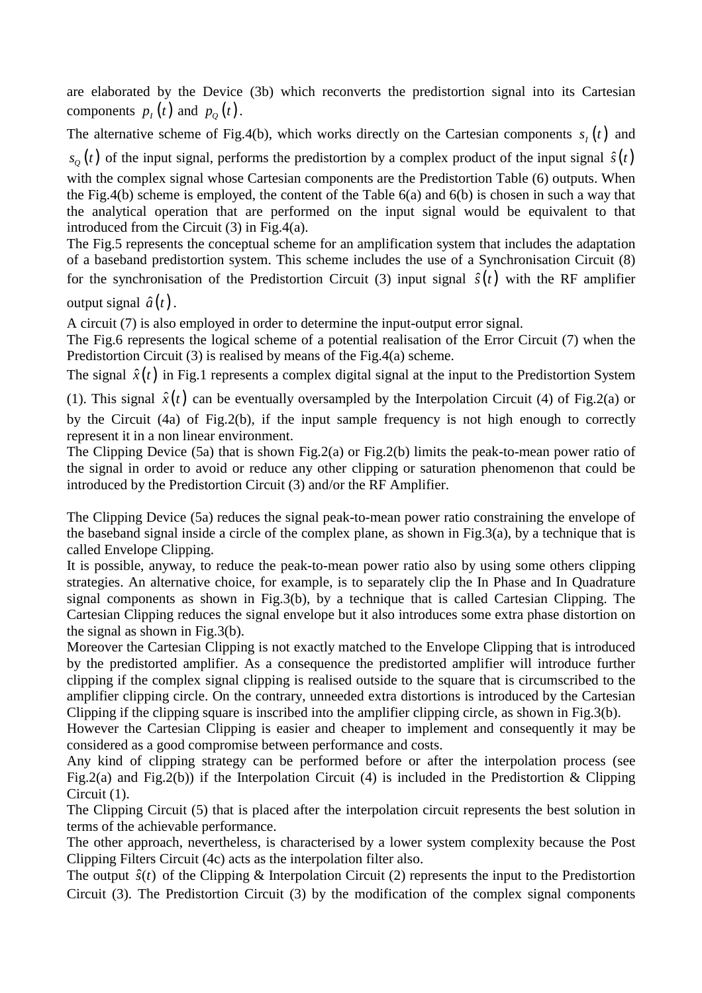are elaborated by the Device (3b) which reconverts the predistortion signal into its Cartesian components  $p_t(t)$  and  $p_o(t)$ .

The alternative scheme of Fig.4(b), which works directly on the Cartesian components  $s<sub>i</sub>(t)$  and

 $s_{\theta}(t)$  of the input signal, performs the predistortion by a complex product of the input signal  $\hat{s}(t)$ with the complex signal whose Cartesian components are the Predistortion Table (6) outputs. When the Fig.4(b) scheme is employed, the content of the Table 6(a) and 6(b) is chosen in such a way that the analytical operation that are performed on the input signal would be equivalent to that introduced from the Circuit (3) in Fig.4(a).

The Fig.5 represents the conceptual scheme for an amplification system that includes the adaptation of a baseband predistortion system. This scheme includes the use of a Synchronisation Circuit (8) for the synchronisation of the Predistortion Circuit (3) input signal  $\hat{s}(t)$  with the RF amplifier

output signal  $\hat{a}(t)$ .

A circuit (7) is also employed in order to determine the input-output error signal.

The Fig.6 represents the logical scheme of a potential realisation of the Error Circuit (7) when the Predistortion Circuit (3) is realised by means of the Fig.4(a) scheme.

The signal  $\hat{x}(t)$  in Fig.1 represents a complex digital signal at the input to the Predistortion System

(1). This signal  $\hat{x}(t)$  can be eventually oversampled by the Interpolation Circuit (4) of Fig.2(a) or

by the Circuit (4a) of Fig.2(b), if the input sample frequency is not high enough to correctly represent it in a non linear environment.

The Clipping Device (5a) that is shown Fig.2(a) or Fig.2(b) limits the peak-to-mean power ratio of the signal in order to avoid or reduce any other clipping or saturation phenomenon that could be introduced by the Predistortion Circuit (3) and/or the RF Amplifier.

The Clipping Device (5a) reduces the signal peak-to-mean power ratio constraining the envelope of the baseband signal inside a circle of the complex plane, as shown in Fig.3(a), by a technique that is called Envelope Clipping.

It is possible, anyway, to reduce the peak-to-mean power ratio also by using some others clipping strategies. An alternative choice, for example, is to separately clip the In Phase and In Quadrature signal components as shown in Fig.3(b), by a technique that is called Cartesian Clipping. The Cartesian Clipping reduces the signal envelope but it also introduces some extra phase distortion on the signal as shown in Fig.3(b).

Moreover the Cartesian Clipping is not exactly matched to the Envelope Clipping that is introduced by the predistorted amplifier. As a consequence the predistorted amplifier will introduce further clipping if the complex signal clipping is realised outside to the square that is circumscribed to the amplifier clipping circle. On the contrary, unneeded extra distortions is introduced by the Cartesian Clipping if the clipping square is inscribed into the amplifier clipping circle, as shown in Fig.3(b).

However the Cartesian Clipping is easier and cheaper to implement and consequently it may be considered as a good compromise between performance and costs.

Any kind of clipping strategy can be performed before or after the interpolation process (see Fig.2(a) and Fig.2(b)) if the Interpolation Circuit (4) is included in the Predistortion & Clipping Circuit (1).

The Clipping Circuit (5) that is placed after the interpolation circuit represents the best solution in terms of the achievable performance.

The other approach, nevertheless, is characterised by a lower system complexity because the Post Clipping Filters Circuit (4c) acts as the interpolation filter also.

The output  $\hat{s}(t)$  of the Clipping & Interpolation Circuit (2) represents the input to the Predistortion Circuit (3). The Predistortion Circuit (3) by the modification of the complex signal components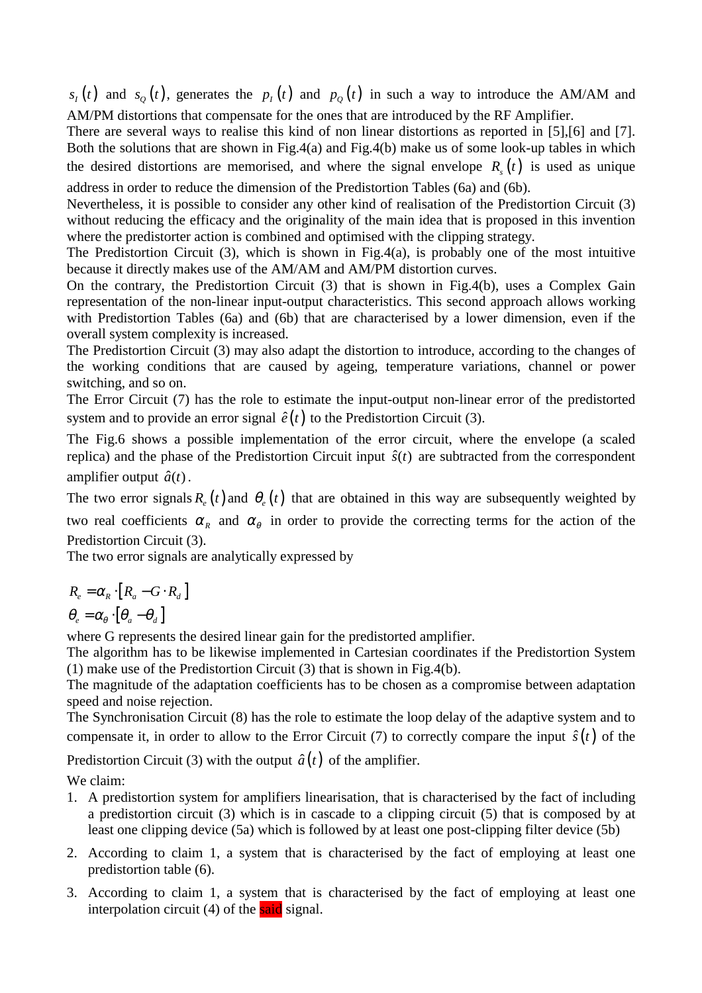$s_t(t)$  and  $s_0(t)$ , generates the  $p_t(t)$  and  $p_0(t)$  in such a way to introduce the AM/AM and AM/PM distortions that compensate for the ones that are introduced by the RF Amplifier.

There are several ways to realise this kind of non linear distortions as reported in [5],[6] and [7]. Both the solutions that are shown in Fig.4(a) and Fig.4(b) make us of some look-up tables in which the desired distortions are memorised, and where the signal envelope  $R<sub>s</sub>(t)$  is used as unique address in order to reduce the dimension of the Predistortion Tables (6a) and (6b).

Nevertheless, it is possible to consider any other kind of realisation of the Predistortion Circuit (3) without reducing the efficacy and the originality of the main idea that is proposed in this invention where the predistorter action is combined and optimised with the clipping strategy.

The Predistortion Circuit  $(3)$ , which is shown in Fig.4 $(a)$ , is probably one of the most intuitive because it directly makes use of the AM/AM and AM/PM distortion curves.

On the contrary, the Predistortion Circuit (3) that is shown in Fig.4(b), uses a Complex Gain representation of the non-linear input-output characteristics. This second approach allows working with Predistortion Tables (6a) and (6b) that are characterised by a lower dimension, even if the overall system complexity is increased.

The Predistortion Circuit (3) may also adapt the distortion to introduce, according to the changes of the working conditions that are caused by ageing, temperature variations, channel or power switching, and so on.

The Error Circuit (7) has the role to estimate the input-output non-linear error of the predistorted system and to provide an error signal  $\hat{e}(t)$  to the Predistortion Circuit (3).

The Fig.6 shows a possible implementation of the error circuit, where the envelope (a scaled replica) and the phase of the Predistortion Circuit input  $\hat{s}(t)$  are subtracted from the correspondent amplifier output  $\hat{a}(t)$ .

The two error signals  $R_e(t)$  and  $\theta_e(t)$  that are obtained in this way are subsequently weighted by two real coefficients  $\alpha_R$  and  $\alpha_{\theta}$  in order to provide the correcting terms for the action of the Predistortion Circuit (3).

The two error signals are analytically expressed by

$$
R_e = \alpha_R \cdot [R_a - G \cdot R_d]
$$

 $\theta_e = \alpha_\theta \cdot [\theta_a - \theta_d]$ 

where G represents the desired linear gain for the predistorted amplifier.

The algorithm has to be likewise implemented in Cartesian coordinates if the Predistortion System (1) make use of the Predistortion Circuit (3) that is shown in Fig.4(b).

The magnitude of the adaptation coefficients has to be chosen as a compromise between adaptation speed and noise rejection.

The Synchronisation Circuit (8) has the role to estimate the loop delay of the adaptive system and to compensate it, in order to allow to the Error Circuit (7) to correctly compare the input  $\hat{s}(t)$  of the

Predistortion Circuit (3) with the output  $\hat{a}(t)$  of the amplifier.

We claim:

- 1. A predistortion system for amplifiers linearisation, that is characterised by the fact of including a predistortion circuit (3) which is in cascade to a clipping circuit (5) that is composed by at least one clipping device (5a) which is followed by at least one post-clipping filter device (5b)
- 2. According to claim 1, a system that is characterised by the fact of employing at least one predistortion table (6).
- 3. According to claim 1, a system that is characterised by the fact of employing at least one interpolation circuit  $(4)$  of the said signal.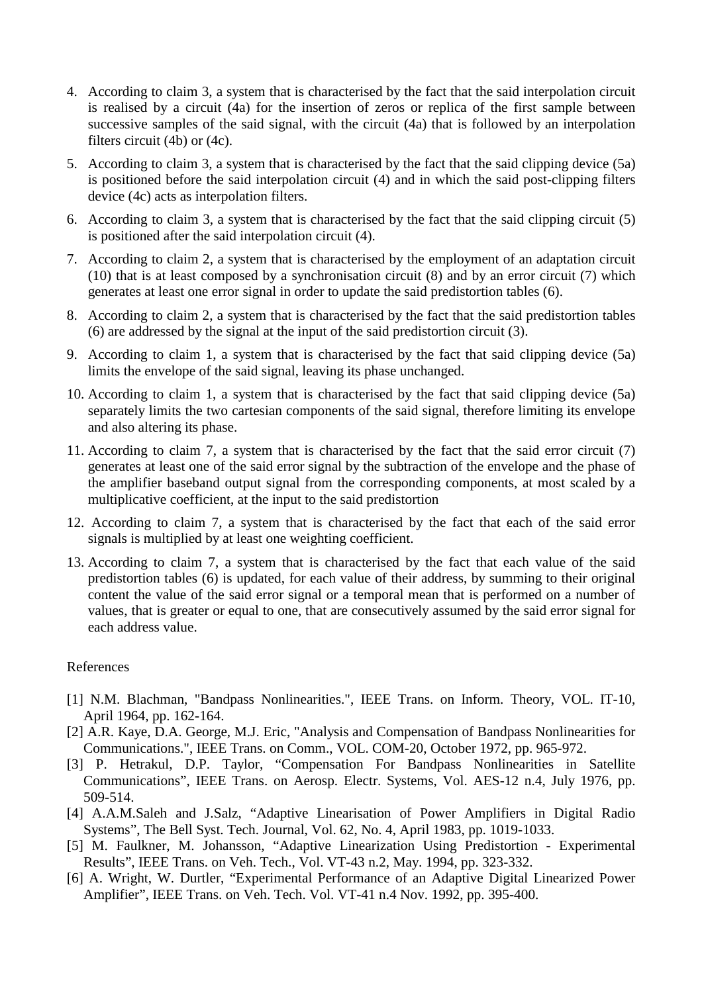- 4. According to claim 3, a system that is characterised by the fact that the said interpolation circuit is realised by a circuit (4a) for the insertion of zeros or replica of the first sample between successive samples of the said signal, with the circuit (4a) that is followed by an interpolation filters circuit (4b) or (4c).
- 5. According to claim 3, a system that is characterised by the fact that the said clipping device (5a) is positioned before the said interpolation circuit (4) and in which the said post-clipping filters device (4c) acts as interpolation filters.
- 6. According to claim 3, a system that is characterised by the fact that the said clipping circuit (5) is positioned after the said interpolation circuit (4).
- 7. According to claim 2, a system that is characterised by the employment of an adaptation circuit (10) that is at least composed by a synchronisation circuit (8) and by an error circuit (7) which generates at least one error signal in order to update the said predistortion tables (6).
- 8. According to claim 2, a system that is characterised by the fact that the said predistortion tables (6) are addressed by the signal at the input of the said predistortion circuit (3).
- 9. According to claim 1, a system that is characterised by the fact that said clipping device (5a) limits the envelope of the said signal, leaving its phase unchanged.
- 10. According to claim 1, a system that is characterised by the fact that said clipping device (5a) separately limits the two cartesian components of the said signal, therefore limiting its envelope and also altering its phase.
- 11. According to claim 7, a system that is characterised by the fact that the said error circuit (7) generates at least one of the said error signal by the subtraction of the envelope and the phase of the amplifier baseband output signal from the corresponding components, at most scaled by a multiplicative coefficient, at the input to the said predistortion
- 12. According to claim 7, a system that is characterised by the fact that each of the said error signals is multiplied by at least one weighting coefficient.
- 13. According to claim 7, a system that is characterised by the fact that each value of the said predistortion tables (6) is updated, for each value of their address, by summing to their original content the value of the said error signal or a temporal mean that is performed on a number of values, that is greater or equal to one, that are consecutively assumed by the said error signal for each address value.

## References

- [1] N.M. Blachman, "Bandpass Nonlinearities.", IEEE Trans. on Inform. Theory, VOL. IT-10, April 1964, pp. 162-164.
- [2] A.R. Kaye, D.A. George, M.J. Eric, "Analysis and Compensation of Bandpass Nonlinearities for Communications.", IEEE Trans. on Comm., VOL. COM-20, October 1972, pp. 965-972.
- [3] P. Hetrakul, D.P. Taylor, "Compensation For Bandpass Nonlinearities in Satellite Communications", IEEE Trans. on Aerosp. Electr. Systems, Vol. AES-12 n.4, July 1976, pp. 509-514.
- [4] A.A.M.Saleh and J.Salz, "Adaptive Linearisation of Power Amplifiers in Digital Radio Systems", The Bell Syst. Tech. Journal, Vol. 62, No. 4, April 1983, pp. 1019-1033.
- [5] M. Faulkner, M. Johansson, "Adaptive Linearization Using Predistortion Experimental Results", IEEE Trans. on Veh. Tech., Vol. VT-43 n.2, May. 1994, pp. 323-332.
- [6] A. Wright, W. Durtler, "Experimental Performance of an Adaptive Digital Linearized Power Amplifier", IEEE Trans. on Veh. Tech. Vol. VT-41 n.4 Nov. 1992, pp. 395-400.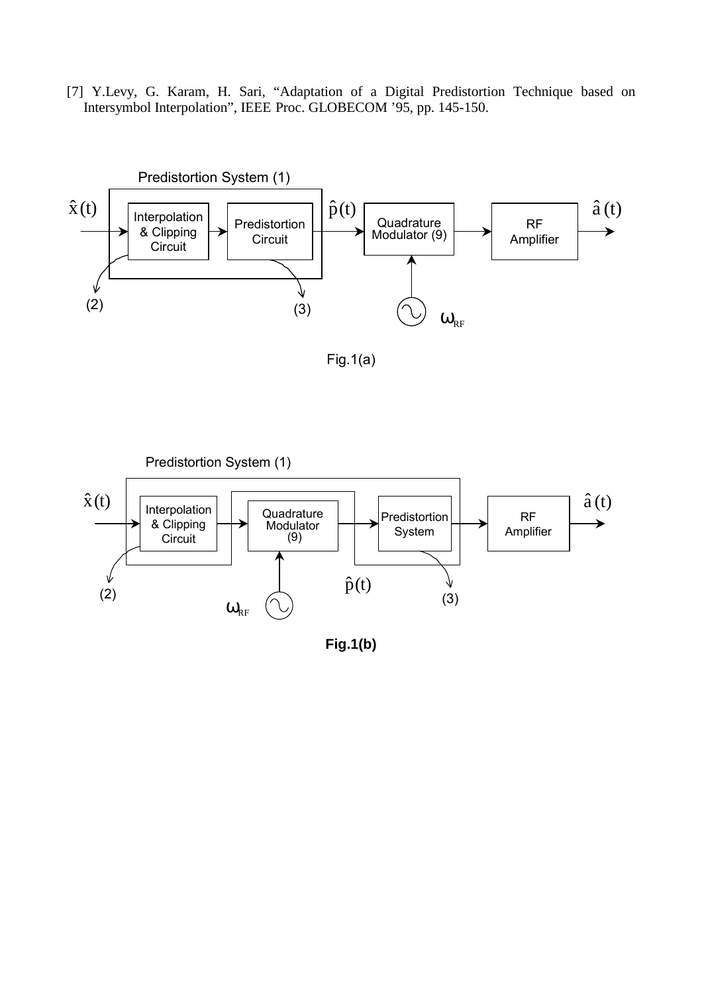[7] Y.Levy, G. Karam, H. Sari, "Adaptation of a Digital Predistortion Technique based on Intersymbol Interpolation", IEEE Proc. GLOBECOM '95, pp. 145-150.



Fig.1(a)



**Fig.1(b)**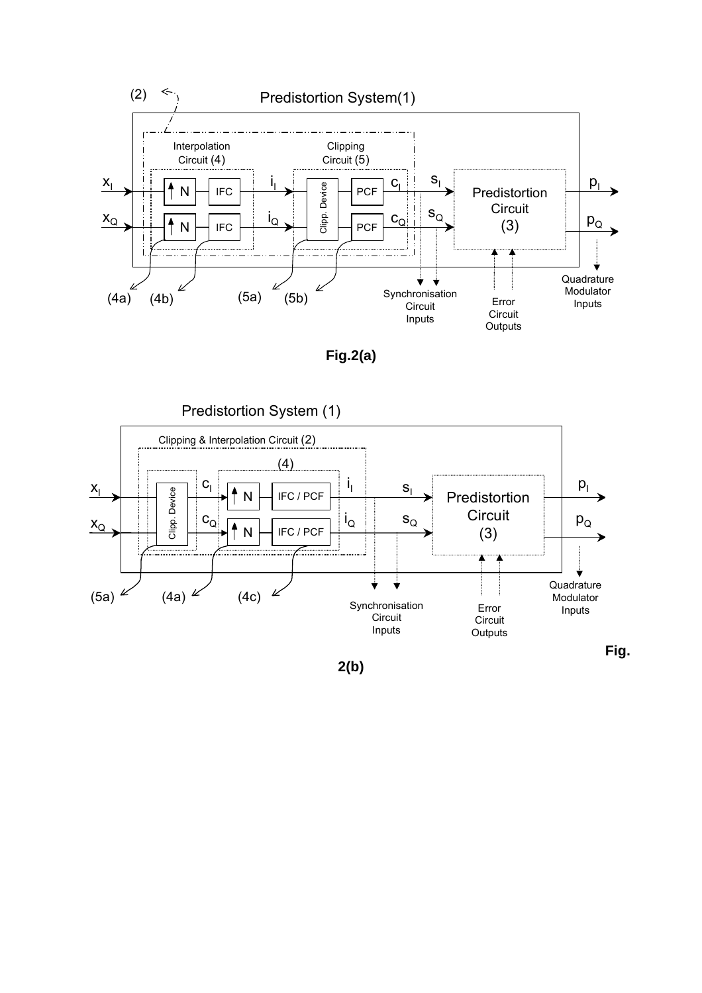

**Fig.2(a)** 

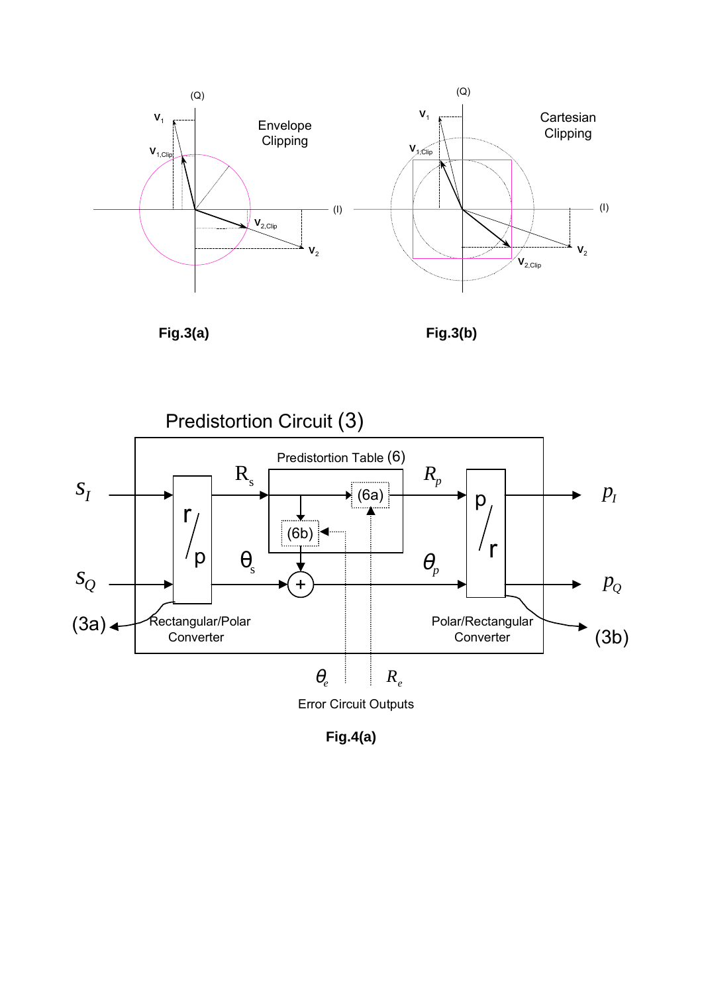





**Fig.4(a)**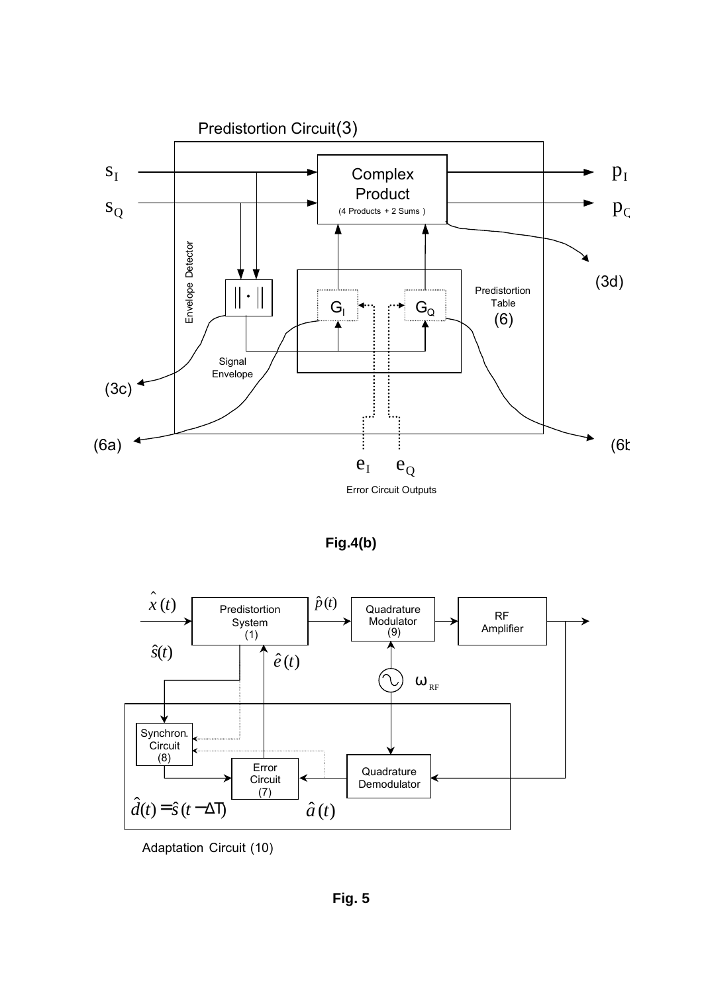

**Fig.4(b)** 



Adaptation Circuit (10)